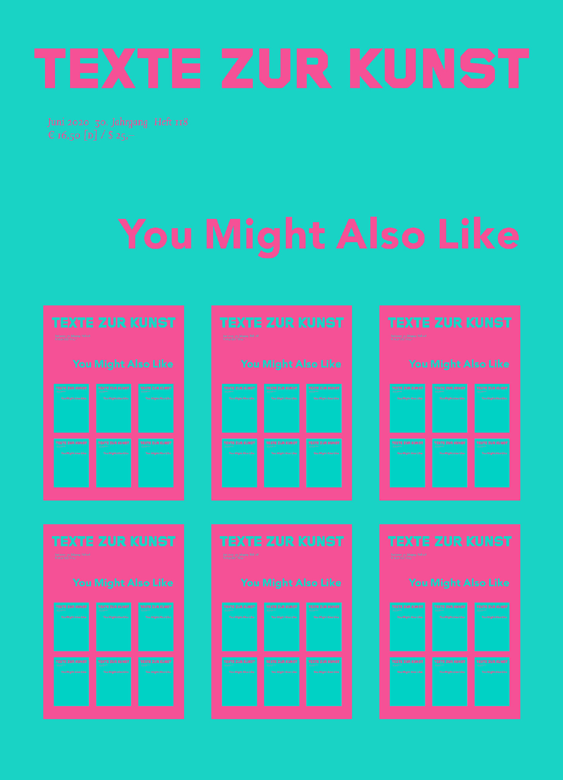







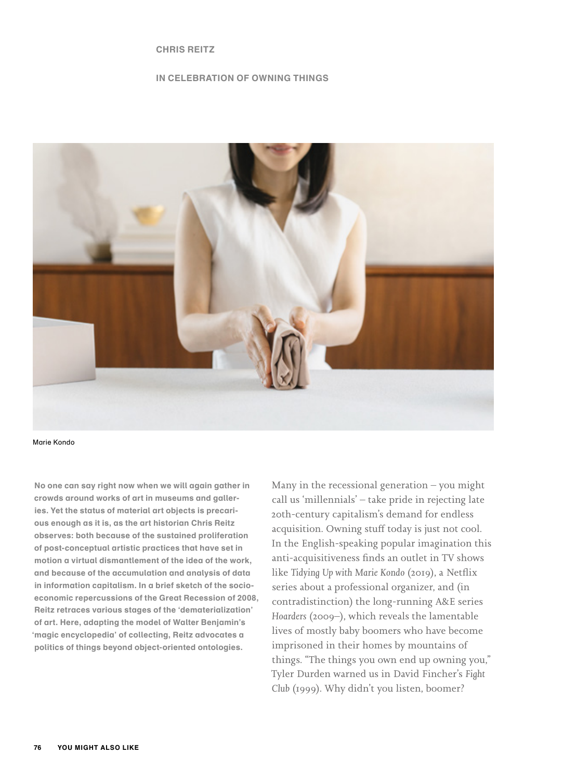## **CHRIS REITZ**

# **IN CELEBRATION OF OWNING THINGS**



Marie Kondo

**No one can say right now when we will again gather in crowds around works of art in museums and galleries. Yet the status of material art objects is precarious enough as it is, as the art historian Chris Reitz observes: both because of the sustained proliferation of post-conceptual artistic practices that have set in motion a virtual dismantlement of the idea of the work, and because of the accumulation and analysis of data in information capitalism. In a brief sketch of the socioeconomic repercussions of the Great Recession of 2008, Reitz retraces various stages of the 'dematerialization' of art. Here, adapting the model of Walter Benjamin's 'magic encyclopedia' of collecting, Reitz advocates a politics of things beyond object-oriented ontologies.**

Many in the recessional generation – you might call us 'millennials' – take pride in rejecting late 20th-century capitalism's demand for endless acquisition. Owning stuff today is just not cool. In the English-speaking popular imagination this anti-acquisitiveness finds an outlet in TV shows like *Tidying Up with Marie Kondo* (2019), a Netflix series about a professional organizer, and (in contradistinction) the long-running A&E series *Hoarders* (2009–), which reveals the lamentable lives of mostly baby boomers who have become imprisoned in their homes by mountains of things. "The things you own end up owning you," Tyler Durden warned us in David Fincher's *Fight Club* (1999). Why didn't you listen, boomer?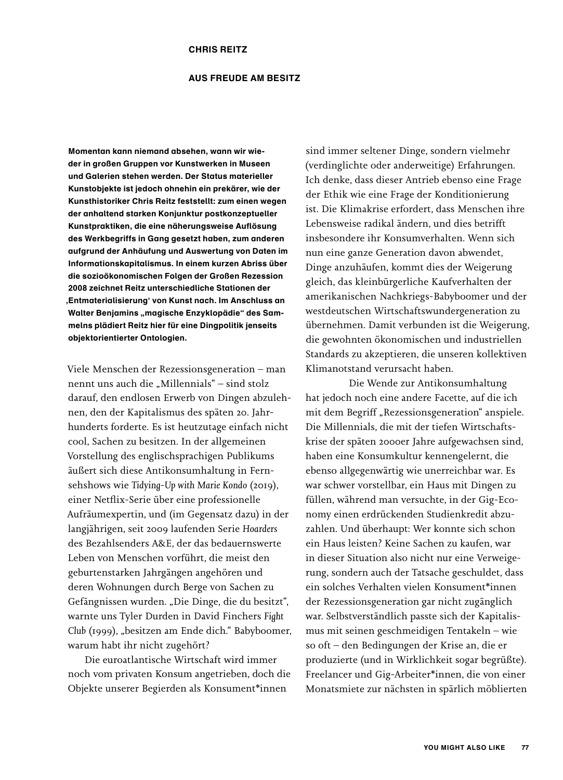## **AUS FREUDE AM BESITZ**

**Momentan kann niemand absehen, wann wir wieder in großen Gruppen vor Kunstwerken in Museen und Galerien stehen werden. Der Status materieller Kunstobjekte ist jedoch ohnehin ein prekärer, wie der Kunsthistoriker Chris Reitz feststellt: zum einen wegen der anhaltend starken Konjunktur postkonzeptueller Kunstpraktiken, die eine näherungsweise Auflösung des Werkbegriffs in Gang gesetzt haben, zum anderen aufgrund der Anhäufung und Auswertung von Daten im Informationskapitalismus. In einem kurzen Abriss über die sozioökonomischen Folgen der Großen Rezession 2008 zeichnet Reitz unterschiedliche Stationen der 'Entmaterialisierung' von Kunst nach. Im Anschluss an**  Walter Benjamins "magische Enzyklopädie" des Sam**melns plädiert Reitz hier für eine Dingpolitik jenseits objektorientierter Ontologien.**

Viele Menschen der Rezessionsgeneration – man nennt uns auch die "Millennials" – sind stolz darauf, den endlosen Erwerb von Dingen abzulehnen, den der Kapitalismus des späten 20. Jahrhunderts forderte. Es ist heutzutage einfach nicht cool, Sachen zu besitzen. In der allgemeinen Vorstellung des englischsprachigen Publikums äußert sich diese Antikonsumhaltung in Fernsehshows wie *Tidying-Up with Marie Kondo* (2019), einer Netflix-Serie über eine professionelle Aufräumexpertin, und (im Gegensatz dazu) in der langjährigen, seit 2009 laufenden Serie *Hoarders* des Bezahlsenders A&E, der das bedauernswerte Leben von Menschen vorführt, die meist den geburtenstarken Jahrgängen angehören und deren Wohnungen durch Berge von Sachen zu Gefängnissen wurden. "Die Dinge, die du besitzt", warnte uns Tyler Durden in David Finchers *Fight*  Club (1999), "besitzen am Ende dich." Babyboomer, warum habt ihr nicht zugehört?

Die euroatlantische Wirtschaft wird immer noch vom privaten Konsum angetrieben, doch die Objekte unserer Begierden als Konsument\*innen

sind immer seltener Dinge, sondern vielmehr (verdinglichte oder anderweitige) Erfahrungen. Ich denke, dass dieser Antrieb ebenso eine Frage der Ethik wie eine Frage der Konditionierung ist. Die Klimakrise erfordert, dass Menschen ihre Lebensweise radikal ändern, und dies betrifft insbesondere ihr Konsumverhalten. Wenn sich nun eine ganze Generation davon abwendet, Dinge anzuhäufen, kommt dies der Weigerung gleich, das kleinbürgerliche Kaufverhalten der amerikanischen Nachkriegs-Babyboomer und der westdeutschen Wirtschaftswundergeneration zu übernehmen. Damit verbunden ist die Weigerung, die gewohnten ökonomischen und industriellen Standards zu akzeptieren, die unseren kollektiven Klimanotstand verursacht haben.

Die Wende zur Antikonsumhaltung hat jedoch noch eine andere Facette, auf die ich mit dem Begriff "Rezessionsgeneration" anspiele. Die Millennials, die mit der tiefen Wirtschaftskrise der späten 2000er Jahre aufgewachsen sind, haben eine Konsumkultur kennengelernt, die ebenso allgegenwärtig wie unerreichbar war. Es war schwer vorstellbar, ein Haus mit Dingen zu füllen, während man versuchte, in der Gig-Economy einen erdrückenden Studienkredit abzuzahlen. Und überhaupt: Wer konnte sich schon ein Haus leisten? Keine Sachen zu kaufen, war in dieser Situation also nicht nur eine Verweigerung, sondern auch der Tatsache geschuldet, dass ein solches Verhalten vielen Konsument\*innen der Rezessionsgeneration gar nicht zugänglich war. Selbstverständlich passte sich der Kapitalismus mit seinen geschmeidigen Tentakeln – wie so oft – den Bedingungen der Krise an, die er produzierte (und in Wirklichkeit sogar begrüßte). Freelancer und Gig-Arbeiter\*innen, die von einer Monatsmiete zur nächsten in spärlich möblierten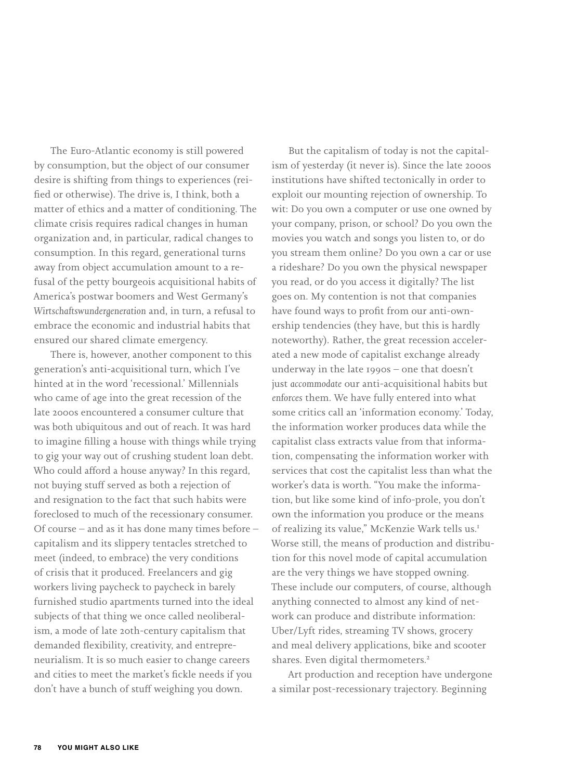The Euro-Atlantic economy is still powered by consumption, but the object of our consumer desire is shifting from things to experiences (reified or otherwise). The drive is, I think, both a matter of ethics and a matter of conditioning. The climate crisis requires radical changes in human organization and, in particular, radical changes to consumption. In this regard, generational turns away from object accumulation amount to a refusal of the petty bourgeois acquisitional habits of America's postwar boomers and West Germany's *Wirtschaftswundergeneration* and, in turn, a refusal to embrace the economic and industrial habits that ensured our shared climate emergency.

There is, however, another component to this generation's anti-acquisitional turn, which I've hinted at in the word 'recessional.' Millennials who came of age into the great recession of the late 2000s encountered a consumer culture that was both ubiquitous and out of reach. It was hard to imagine filling a house with things while trying to gig your way out of crushing student loan debt. Who could afford a house anyway? In this regard, not buying stuff served as both a rejection of and resignation to the fact that such habits were foreclosed to much of the recessionary consumer. Of course – and as it has done many times before – capitalism and its slippery tentacles stretched to meet (indeed, to embrace) the very conditions of crisis that it produced. Freelancers and gig workers living paycheck to paycheck in barely furnished studio apartments turned into the ideal subjects of that thing we once called neoliberalism, a mode of late 20th-century capitalism that demanded flexibility, creativity, and entrepreneurialism. It is so much easier to change careers and cities to meet the market's fickle needs if you don't have a bunch of stuff weighing you down.

But the capitalism of today is not the capitalism of yesterday (it never is). Since the late 2000s institutions have shifted tectonically in order to exploit our mounting rejection of ownership. To wit: Do you own a computer or use one owned by your company, prison, or school? Do you own the movies you watch and songs you listen to, or do you stream them online? Do you own a car or use a rideshare? Do you own the physical newspaper you read, or do you access it digitally? The list goes on. My contention is not that companies have found ways to profit from our anti-ownership tendencies (they have, but this is hardly noteworthy). Rather, the great recession accelerated a new mode of capitalist exchange already underway in the late 1990s – one that doesn't just *accommodate* our anti-acquisitional habits but *enforces* them. We have fully entered into what some critics call an 'information economy.' Today, the information worker produces data while the capitalist class extracts value from that information, compensating the information worker with services that cost the capitalist less than what the worker's data is worth. "You make the information, but like some kind of info-prole, you don't own the information you produce or the means of realizing its value," McKenzie Wark tells us.<sup>1</sup> Worse still, the means of production and distribution for this novel mode of capital accumulation are the very things we have stopped owning. These include our computers, of course, although anything connected to almost any kind of network can produce and distribute information: Uber/Lyft rides, streaming TV shows, grocery and meal delivery applications, bike and scooter shares. Even digital thermometers.<sup>2</sup>

Art production and reception have undergone a similar post-recessionary trajectory. Beginning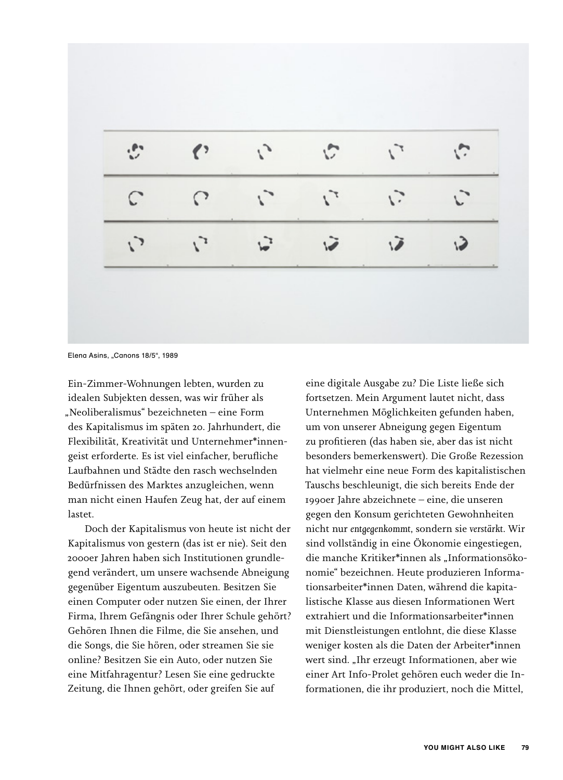|            | $\left\langle \cdot \right\rangle$ | $\mathcal{L}_{\mathcal{L}}$ | $\mathcal{L}$               |               |  |
|------------|------------------------------------|-----------------------------|-----------------------------|---------------|--|
| ◠          | $\Omega$                           | $\mathcal{L}$               | $\mathcal{L}^{\mathcal{T}}$ | $\mathcal{L}$ |  |
| $\sqrt{ }$ | $\mathcal{L}$                      | $\mathbf{b}^2$              | $\tilde{u}$                 | ιZ            |  |

Elena Asins, "Canons 18/5", 1989

Ein-Zimmer-Wohnungen lebten, wurden zu idealen Subjekten dessen, was wir früher als "Neoliberalismus" bezeichneten – eine Form des Kapitalismus im späten 20. Jahrhundert, die Flexibilität, Kreativität und Unternehmer\*innengeist erforderte. Es ist viel einfacher, berufliche Laufbahnen und Städte den rasch wechselnden Bedürfnissen des Marktes anzugleichen, wenn man nicht einen Haufen Zeug hat, der auf einem lastet.

Doch der Kapitalismus von heute ist nicht der Kapitalismus von gestern (das ist er nie). Seit den 2000er Jahren haben sich Institutionen grundlegend verändert, um unsere wachsende Abneigung gegenüber Eigentum auszubeuten. Besitzen Sie einen Computer oder nutzen Sie einen, der Ihrer Firma, Ihrem Gefängnis oder Ihrer Schule gehört? Gehören Ihnen die Filme, die Sie ansehen, und die Songs, die Sie hören, oder streamen Sie sie online? Besitzen Sie ein Auto, oder nutzen Sie eine Mitfahragentur? Lesen Sie eine gedruckte Zeitung, die Ihnen gehört, oder greifen Sie auf

eine digitale Ausgabe zu? Die Liste ließe sich fortsetzen. Mein Argument lautet nicht, dass Unternehmen Möglichkeiten gefunden haben, um von unserer Abneigung gegen Eigentum zu profitieren (das haben sie, aber das ist nicht besonders bemerkenswert). Die Große Rezession hat vielmehr eine neue Form des kapitalistischen Tauschs beschleunigt, die sich bereits Ende der 1990er Jahre abzeichnete – eine, die unseren gegen den Konsum gerichteten Gewohnheiten nicht nur *entgegenkommt*, sondern sie *verstärkt*. Wir sind vollständig in eine Ökonomie eingestiegen, die manche Kritiker\*innen als "Informationsökonomie" bezeichnen. Heute produzieren Informationsarbeiter\*innen Daten, während die kapitalistische Klasse aus diesen Informationen Wert extrahiert und die Informationsarbeiter\*innen mit Dienstleistungen entlohnt, die diese Klasse weniger kosten als die Daten der Arbeiter\*innen wert sind. "Ihr erzeugt Informationen, aber wie einer Art Info-Prolet gehören euch weder die Informationen, die ihr produziert, noch die Mittel,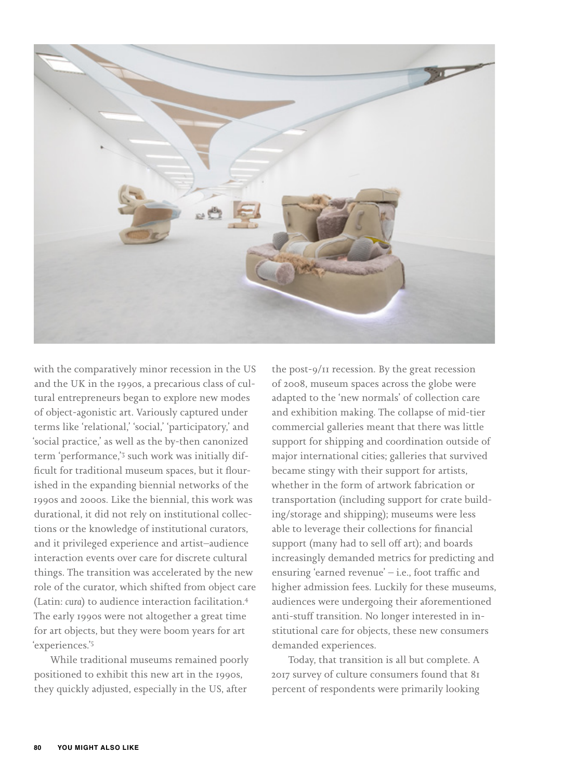

with the comparatively minor recession in the US and the UK in the 1990s, a precarious class of cultural entrepreneurs began to explore new modes of object-agonistic art. Variously captured under terms like 'relational,' 'social,' 'participatory,' and 'social practice,' as well as the by-then canonized term 'performance,'<sup>3</sup> such work was initially difficult for traditional museum spaces, but it flourished in the expanding biennial networks of the 1990s and 2000s. Like the biennial, this work was durational, it did not rely on institutional collections or the knowledge of institutional curators, and it privileged experience and artist–audience interaction events over care for discrete cultural things. The transition was accelerated by the new role of the curator, which shifted from object care (Latin: *cura*) to audience interaction facilitation.<sup>4</sup> The early 1990s were not altogether a great time for art objects, but they were boom years for art 'experiences.'<sup>5</sup>

While traditional museums remained poorly positioned to exhibit this new art in the 1990s, they quickly adjusted, especially in the US, after

the post-9/11 recession. By the great recession of 2008, museum spaces across the globe were adapted to the 'new normals' of collection care and exhibition making. The collapse of mid-tier commercial galleries meant that there was little support for shipping and coordination outside of major international cities; galleries that survived became stingy with their support for artists, whether in the form of artwork fabrication or transportation (including support for crate building/storage and shipping); museums were less able to leverage their collections for financial support (many had to sell off art); and boards increasingly demanded metrics for predicting and ensuring 'earned revenue' – i.e., foot traffic and higher admission fees. Luckily for these museums, audiences were undergoing their aforementioned anti-stuff transition. No longer interested in institutional care for objects, these new consumers demanded experiences.

Today, that transition is all but complete. A 2017 survey of culture consumers found that 81 percent of respondents were primarily looking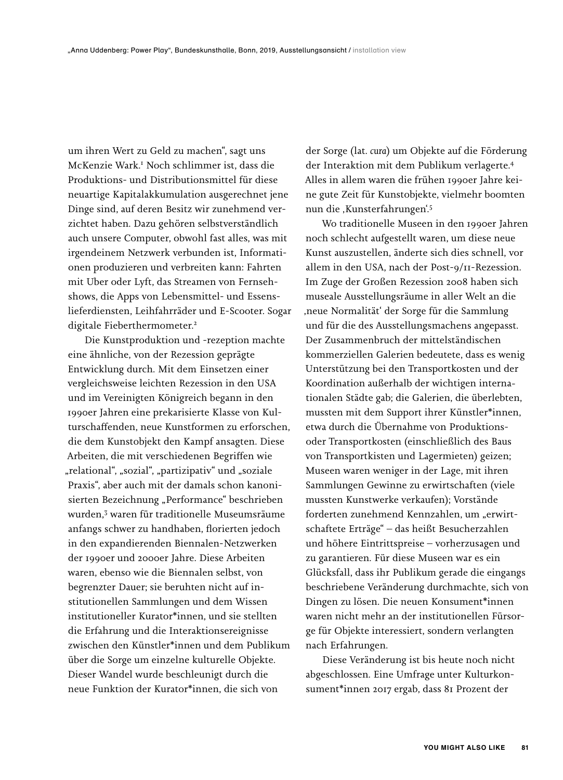um ihren Wert zu Geld zu machen", sagt uns McKenzie Wark.<sup>1</sup> Noch schlimmer ist, dass die Produktions- und Distributionsmittel für diese neuartige Kapitalakkumulation ausgerechnet jene Dinge sind, auf deren Besitz wir zunehmend verzichtet haben. Dazu gehören selbstverständlich auch unsere Computer, obwohl fast alles, was mit irgendeinem Netzwerk verbunden ist, Informationen produzieren und verbreiten kann: Fahrten mit Uber oder Lyft, das Streamen von Fernsehshows, die Apps von Lebensmittel- und Essenslieferdiensten, Leihfahrräder und E-Scooter. Sogar digitale Fieberthermometer.<sup>2</sup>

Die Kunstproduktion und -rezeption machte eine ähnliche, von der Rezession geprägte Entwicklung durch. Mit dem Einsetzen einer vergleichsweise leichten Rezession in den USA und im Vereinigten Königreich begann in den 1990er Jahren eine prekarisierte Klasse von Kulturschaffenden, neue Kunstformen zu erforschen, die dem Kunstobjekt den Kampf ansagten. Diese Arbeiten, die mit verschiedenen Begriffen wie "relational", "sozial", "partizipativ" und "soziale Praxis", aber auch mit der damals schon kanonisierten Bezeichnung "Performance" beschrieben wurden,<sup>3</sup> waren für traditionelle Museumsräume anfangs schwer zu handhaben, florierten jedoch in den expandierenden Biennalen-Netzwerken der 1990er und 2000er Jahre. Diese Arbeiten waren, ebenso wie die Biennalen selbst, von begrenzter Dauer; sie beruhten nicht auf institutionellen Sammlungen und dem Wissen institutioneller Kurator\*innen, und sie stellten die Erfahrung und die Interaktionsereignisse zwischen den Künstler\*innen und dem Publikum über die Sorge um einzelne kulturelle Objekte. Dieser Wandel wurde beschleunigt durch die neue Funktion der Kurator\*innen, die sich von

der Sorge (lat. *cura*) um Objekte auf die Förderung der Interaktion mit dem Publikum verlagerte.<sup>4</sup> Alles in allem waren die frühen 1990er Jahre keine gute Zeit für Kunstobjekte, vielmehr boomten nun die ,Kunsterfahrungen'.<sup>5</sup>

Wo traditionelle Museen in den 1990er Jahren noch schlecht aufgestellt waren, um diese neue Kunst auszustellen, änderte sich dies schnell, vor allem in den USA, nach der Post-9/11-Rezession. Im Zuge der Großen Rezession 2008 haben sich museale Ausstellungsräume in aller Welt an die 'neue Normalität' der Sorge für die Sammlung und für die des Ausstellungsmachens angepasst. Der Zusammenbruch der mittelständischen kommerziellen Galerien bedeutete, dass es wenig Unterstützung bei den Transportkosten und der Koordination außerhalb der wichtigen internationalen Städte gab; die Galerien, die überlebten, mussten mit dem Support ihrer Künstler\*innen, etwa durch die Übernahme von Produktionsoder Transportkosten (einschließlich des Baus von Transportkisten und Lagermieten) geizen; Museen waren weniger in der Lage, mit ihren Sammlungen Gewinne zu erwirtschaften (viele mussten Kunstwerke verkaufen); Vorstände forderten zunehmend Kennzahlen, um "erwirtschaftete Erträge" – das heißt Besucherzahlen und höhere Eintrittspreise – vorherzusagen und zu garantieren. Für diese Museen war es ein Glücksfall, dass ihr Publikum gerade die eingangs beschriebene Veränderung durchmachte, sich von Dingen zu lösen. Die neuen Konsument\*innen waren nicht mehr an der institutionellen Fürsorge für Objekte interessiert, sondern verlangten nach Erfahrungen.

Diese Veränderung ist bis heute noch nicht abgeschlossen. Eine Umfrage unter Kulturkonsument\*innen 2017 ergab, dass 81 Prozent der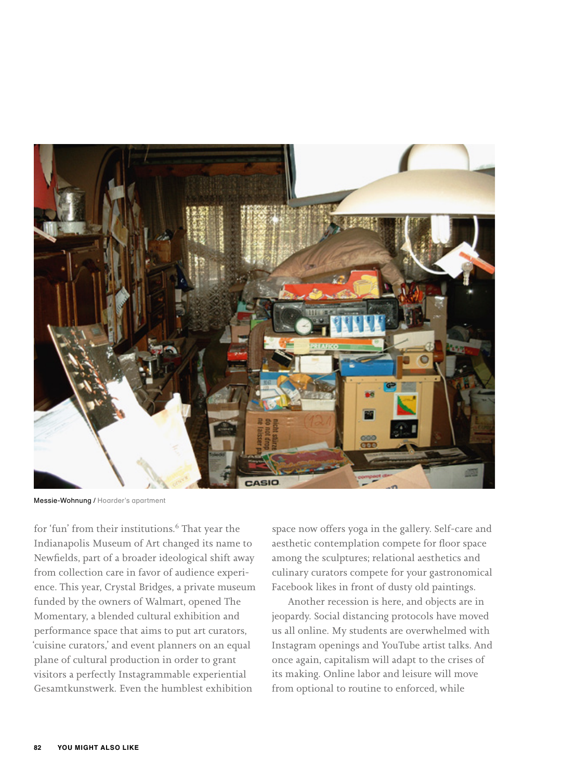

Messie-Wohnung / Hoarder's apartment

for 'fun' from their institutions.<sup>6</sup> That year the Indianapolis Museum of Art changed its name to Newfields, part of a broader ideological shift away from collection care in favor of audience experience. This year, Crystal Bridges, a private museum funded by the owners of Walmart, opened The Momentary, a blended cultural exhibition and performance space that aims to put art curators, 'cuisine curators,' and event planners on an equal plane of cultural production in order to grant visitors a perfectly Instagrammable experiential Gesamtkunstwerk. Even the humblest exhibition

space now offers yoga in the gallery. Self-care and aesthetic contemplation compete for floor space among the sculptures; relational aesthetics and culinary curators compete for your gastronomical Facebook likes in front of dusty old paintings.

Another recession is here, and objects are in jeopardy. Social distancing protocols have moved us all online. My students are overwhelmed with Instagram openings and YouTube artist talks. And once again, capitalism will adapt to the crises of its making. Online labor and leisure will move from optional to routine to enforced, while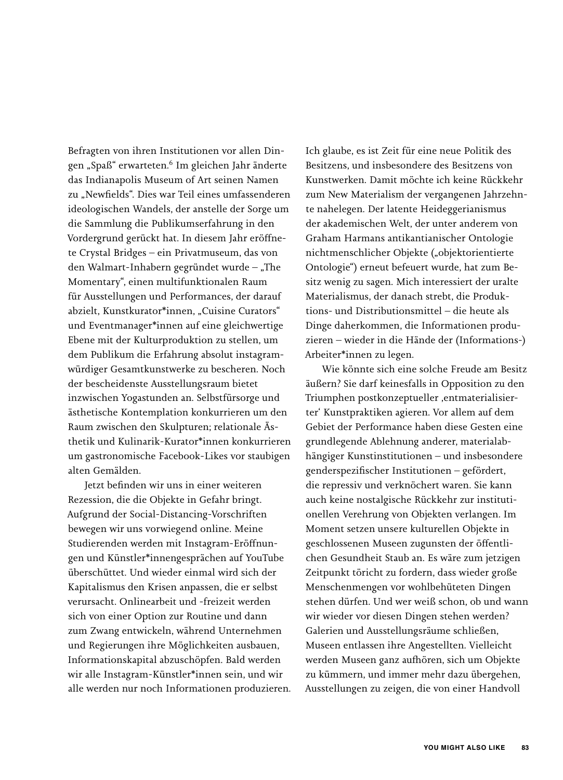Befragten von ihren Institutionen vor allen Dingen "Spaß" erwarteten.<sup>6</sup> Im gleichen Jahr änderte das Indianapolis Museum of Art seinen Namen zu "Newfields". Dies war Teil eines umfassenderen ideologischen Wandels, der anstelle der Sorge um die Sammlung die Publikumserfahrung in den Vordergrund gerückt hat. In diesem Jahr eröffnete Crystal Bridges – ein Privatmuseum, das von den Walmart-Inhabern gegründet wurde – "The Momentary", einen multifunktionalen Raum für Ausstellungen und Performances, der darauf abzielt, Kunstkurator\*innen, "Cuisine Curators" und Eventmanager\*innen auf eine gleichwertige Ebene mit der Kulturproduktion zu stellen, um dem Publikum die Erfahrung absolut instagramwürdiger Gesamtkunstwerke zu bescheren. Noch der bescheidenste Ausstellungsraum bietet inzwischen Yogastunden an. Selbstfürsorge und ästhetische Kontemplation konkurrieren um den Raum zwischen den Skulpturen; relationale Ästhetik und Kulinarik-Kurator\*innen konkurrieren um gastronomische Facebook-Likes vor staubigen alten Gemälden.

Jetzt befinden wir uns in einer weiteren Rezession, die die Objekte in Gefahr bringt. Aufgrund der Social-Distancing-Vorschriften bewegen wir uns vorwiegend online. Meine Studierenden werden mit Instagram-Eröffnungen und Künstler\*innengesprächen auf YouTube überschüttet. Und wieder einmal wird sich der Kapitalismus den Krisen anpassen, die er selbst verursacht. Onlinearbeit und -freizeit werden sich von einer Option zur Routine und dann zum Zwang entwickeln, während Unternehmen und Regierungen ihre Möglichkeiten ausbauen, Informationskapital abzuschöpfen. Bald werden wir alle Instagram-Künstler\*innen sein, und wir alle werden nur noch Informationen produzieren. Ich glaube, es ist Zeit für eine neue Politik des Besitzens, und insbesondere des Besitzens von Kunstwerken. Damit möchte ich keine Rückkehr zum New Materialism der vergangenen Jahrzehnte nahelegen. Der latente Heideggerianismus der akademischen Welt, der unter anderem von Graham Harmans antikantianischer Ontologie nichtmenschlicher Objekte ("objektorientierte Ontologie") erneut befeuert wurde, hat zum Besitz wenig zu sagen. Mich interessiert der uralte Materialismus, der danach strebt, die Produktions- und Distributionsmittel – die heute als Dinge daherkommen, die Informationen produzieren – wieder in die Hände der (Informations-) Arbeiter\*innen zu legen.

Wie könnte sich eine solche Freude am Besitz äußern? Sie darf keinesfalls in Opposition zu den Triumphen postkonzeptueller ,entmaterialisierter' Kunstpraktiken agieren. Vor allem auf dem Gebiet der Performance haben diese Gesten eine grundlegende Ablehnung anderer, materialabhängiger Kunstinstitutionen – und insbesondere genderspezifischer Institutionen – gefördert, die repressiv und verknöchert waren. Sie kann auch keine nostalgische Rückkehr zur institutionellen Verehrung von Objekten verlangen. Im Moment setzen unsere kulturellen Objekte in geschlossenen Museen zugunsten der öffentlichen Gesundheit Staub an. Es wäre zum jetzigen Zeitpunkt töricht zu fordern, dass wieder große Menschenmengen vor wohlbehüteten Dingen stehen dürfen. Und wer weiß schon, ob und wann wir wieder vor diesen Dingen stehen werden? Galerien und Ausstellungsräume schließen, Museen entlassen ihre Angestellten. Vielleicht werden Museen ganz aufhören, sich um Objekte zu kümmern, und immer mehr dazu übergehen, Ausstellungen zu zeigen, die von einer Handvoll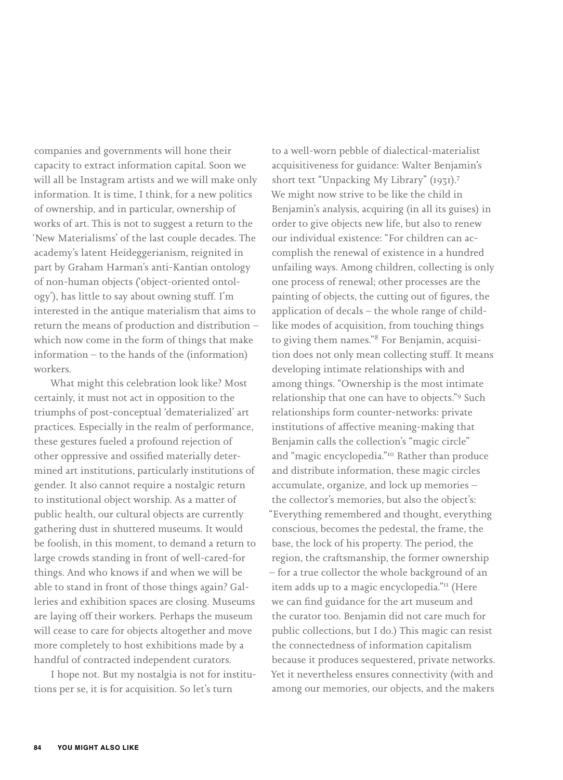companies and governments will hone their capacity to extract information capital. Soon we will all be Instagram artists and we will make only information. It is time, I think, for a new politics of ownership, and in particular, ownership of works of art. This is not to suggest a return to the 'New Materialisms' of the last couple decades. The academy's latent Heideggerianism, reignited in part by Graham Harman's anti-Kantian ontology of non-human objects ('object-oriented ontology'), has little to say about owning stuff. I'm interested in the antique materialism that aims to return the means of production and distribution – which now come in the form of things that make information – to the hands of the (information) workers.

What might this celebration look like? Most certainly, it must not act in opposition to the triumphs of post-conceptual 'dematerialized' art practices. Especially in the realm of performance, these gestures fueled a profound rejection of other oppressive and ossified materially determined art institutions, particularly institutions of gender. It also cannot require a nostalgic return to institutional object worship. As a matter of public health, our cultural objects are currently gathering dust in shuttered museums. It would be foolish, in this moment, to demand a return to large crowds standing in front of well-cared-for things. And who knows if and when we will be able to stand in front of those things again? Galleries and exhibition spaces are closing. Museums are laying off their workers. Perhaps the museum will cease to care for objects altogether and move more completely to host exhibitions made by a handful of contracted independent curators.

I hope not. But my nostalgia is not for institutions per se, it is for acquisition. So let's turn

to a well-worn pebble of dialectical-materialist acquisitiveness for guidance: Walter Benjamin's short text "Unpacking My Library" (1931).<sup>7</sup> We might now strive to be like the child in Benjamin's analysis, acquiring (in all its guises) in order to give objects new life, but also to renew our individual existence: "For children can accomplish the renewal of existence in a hundred unfailing ways. Among children, collecting is only one process of renewal; other processes are the painting of objects, the cutting out of figures, the application of decals – the whole range of childlike modes of acquisition, from touching things to giving them names."8 For Benjamin, acquisition does not only mean collecting stuff. It means developing intimate relationships with and among things. "Ownership is the most intimate relationship that one can have to objects."9 Such relationships form counter-networks: private institutions of affective meaning-making that Benjamin calls the collection's "magic circle" and "magic encyclopedia."10 Rather than produce and distribute information, these magic circles accumulate, organize, and lock up memories – the collector's memories, but also the object's: "Everything remembered and thought, everything conscious, becomes the pedestal, the frame, the base, the lock of his property. The period, the region, the craftsmanship, the former ownership – for a true collector the whole background of an item adds up to a magic encyclopedia."<sup>11</sup> (Here we can find guidance for the art museum and the curator too. Benjamin did not care much for public collections, but I do.) This magic can resist the connectedness of information capitalism because it produces sequestered, private networks. Yet it nevertheless ensures connectivity (with and among our memories, our objects, and the makers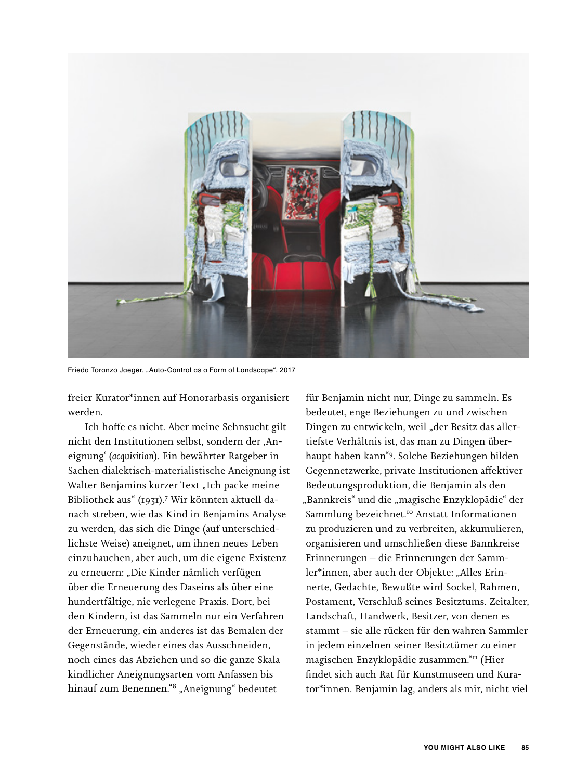

Frieda Toranzo Jaeger, "Auto-Control as a Form of Landscape", 2017

freier Kurator\*innen auf Honorarbasis organisiert werden.

Ich hoffe es nicht. Aber meine Sehnsucht gilt nicht den Institutionen selbst, sondern der ,Aneignung' (*acquisition*). Ein bewährter Ratgeber in Sachen dialektisch-materialistische Aneignung ist Walter Benjamins kurzer Text "Ich packe meine Bibliothek aus" (1931).<sup>7</sup> Wir könnten aktuell danach streben, wie das Kind in Benjamins Analyse zu werden, das sich die Dinge (auf unterschiedlichste Weise) aneignet, um ihnen neues Leben einzuhauchen, aber auch, um die eigene Existenz zu erneuern: "Die Kinder nämlich verfügen über die Erneuerung des Daseins als über eine hundertfältige, nie verlegene Praxis. Dort, bei den Kindern, ist das Sammeln nur ein Verfahren der Erneuerung, ein anderes ist das Bemalen der Gegenstände, wieder eines das Ausschneiden, noch eines das Abziehen und so die ganze Skala kindlicher Aneignungsarten vom Anfassen bis hinauf zum Benennen."<sup>8</sup> "Aneignung" bedeutet

für Benjamin nicht nur, Dinge zu sammeln. Es bedeutet, enge Beziehungen zu und zwischen Dingen zu entwickeln, weil "der Besitz das allertiefste Verhältnis ist, das man zu Dingen überhaupt haben kann"9. Solche Beziehungen bilden Gegennetzwerke, private Institutionen affektiver Bedeutungsproduktion, die Benjamin als den "Bannkreis" und die "magische Enzyklopädie" der Sammlung bezeichnet.<sup>10</sup> Anstatt Informationen zu produzieren und zu verbreiten, akkumulieren, organisieren und umschließen diese Bannkreise Erinnerungen – die Erinnerungen der Sammler\*innen, aber auch der Objekte: "Alles Erinnerte, Gedachte, Bewußte wird Sockel, Rahmen, Postament, Verschluß seines Besitztums. Zeitalter, Landschaft, Handwerk, Besitzer, von denen es stammt – sie alle rücken für den wahren Sammler in jedem einzelnen seiner Besitztümer zu einer magischen Enzyklopädie zusammen."<sup>11</sup> (Hier findet sich auch Rat für Kunstmuseen und Kurator\*innen. Benjamin lag, anders als mir, nicht viel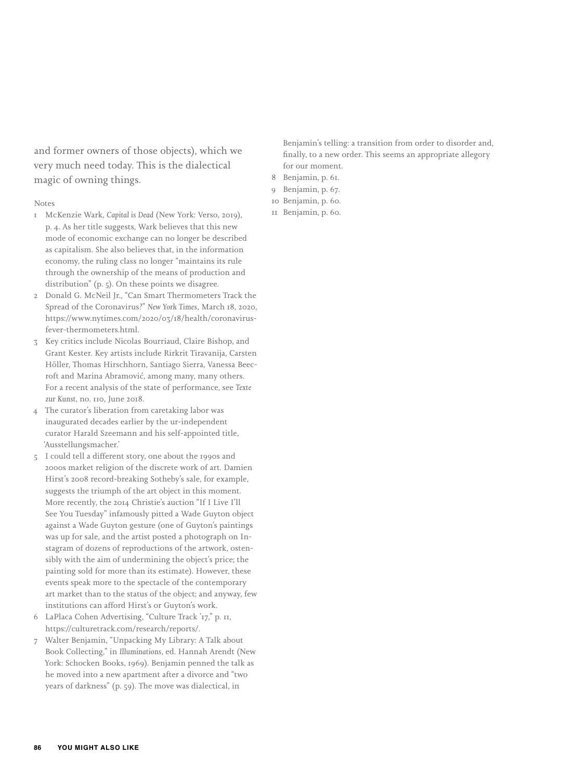and former owners of those objects), which we very much need today. This is the dialectical magic of owning things.

### Notes

- 1 McKenzie Wark, *Capital is Dead* (New York: Verso, 2019), p. 4. As her title suggests, Wark believes that this new mode of economic exchange can no longer be described as capitalism. She also believes that, in the information economy, the ruling class no longer "maintains its rule through the ownership of the means of production and distribution" (p. 5). On these points we disagree.
- 2 Donald G. McNeil Jr., "Can Smart Thermometers Track the Spread of the Coronavirus?" *New York Times*, March 18, 2020, https://www.nytimes.com/2020/03/18/health/coronavirusfever-thermometers.html.
- 3 Key critics include Nicolas Bourriaud, Claire Bishop, and Grant Kester. Key artists include Rirkrit Tiravanija, Carsten Höller, Thomas Hirschhorn, Santiago Sierra, Vanessa Beecroft and Marina Abramović, among many, many others. For a recent analysis of the state of performance, see *Texte zur Kunst*, no. 110, June 2018.
- 4 The curator's liberation from caretaking labor was inaugurated decades earlier by the ur-independent curator Harald Szeemann and his self-appointed title, 'Ausstellungsmacher.'
- 5 I could tell a different story, one about the 1990s and 2000s market religion of the discrete work of art. Damien Hirst's 2008 record-breaking Sotheby's sale, for example, suggests the triumph of the art object in this moment. More recently, the 2014 Christie's auction "If I Live I'll See You Tuesday" infamously pitted a Wade Guyton object against a Wade Guyton gesture (one of Guyton's paintings was up for sale, and the artist posted a photograph on Instagram of dozens of reproductions of the artwork, ostensibly with the aim of undermining the object's price; the painting sold for more than its estimate). However, these events speak more to the spectacle of the contemporary art market than to the status of the object; and anyway, few institutions can afford Hirst's or Guyton's work.
- 6 LaPlaca Cohen Advertising, "Culture Track '17," p. 11, https://culturetrack.com/research/reports/.
- 7 Walter Benjamin, "Unpacking My Library: A Talk about Book Collecting," in *Illuminations*, ed. Hannah Arendt (New York: Schocken Books, 1969). Benjamin penned the talk as he moved into a new apartment after a divorce and "two years of darkness" (p. 59). The move was dialectical, in

Benjamin's telling: a transition from order to disorder and, finally, to a new order. This seems an appropriate allegory for our moment.

- 8 Benjamin, p. 61.
- 9 Benjamin, p. 67.
- 10 Benjamin, p. 60.
- 11 Benjamin, p. 60.